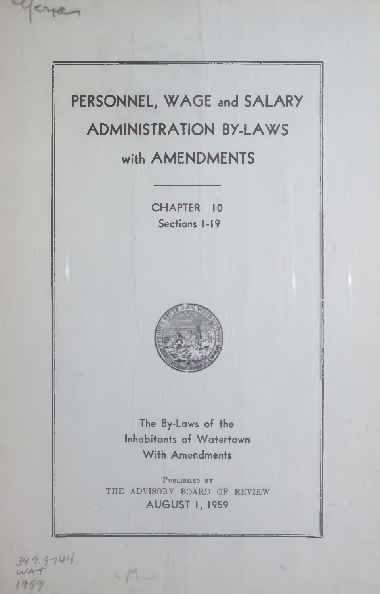**PERSONNEL, WAGE and SALARY ADMINISTRATION BY-LAWS with AMENDMENTS**

> **CHAPTER 10 Sections 1-19**



**The By-Laws of the Inhabitants of Watertown With Amendments**

PUBLISHED BY THE ADVISORY BOARD OF REVIEW **AUGUST I, 1959**

 $-11$ 

**3V 9. 9'74^**  $WAT$ 1959

yena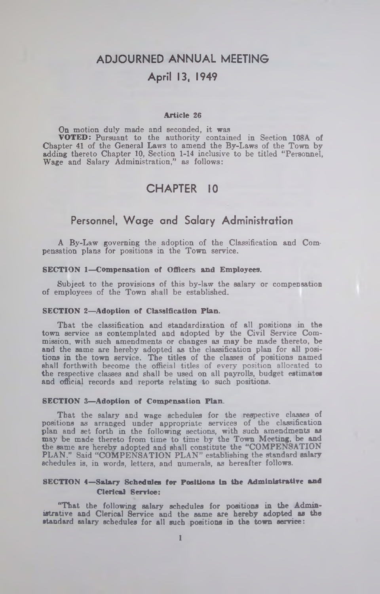# **ADJOURNED ANNUAL MEETING**

## **April 13, 1949**

#### Article 26

On motion duly made and seconded, it was VOTED: Pursuant to the authority contained in Section 108A of Chapter 41 of the General Laws to amend the By-Laws of the Town by adding thereto Chapter 10, Section 1-14 inclusive to be titled " Personnel, Wage and Salary Administration," as follows:

# **CHAPTER 10**

## **Personnel, W age and Salary Administration**

A By-Law governing the adoption of the Classification and Compensation plans for positions in the Town service.

#### SECTION 1—Compensation of Officers and Employees.

Subject to the provisions of this by-law the salary or compensation of employees of the Town shall be established.

#### SECTION 2—Adoption of Classification Plan.

That the classification and standardization of all positions in the town service as contemplated and adopted by the Civil Service Commission, with such amendments or changes as may be made thereto, be and the same are hereby adopted as the classification plan for all positions in the town service. The titles of the classes of positions named shall forthwith become the official titles of every position allocated to the respective classes and shall be used on all payrolls, budget estimates and official records and reports relating to such positions.

#### SECTION 3—Adoption of Compensation Plan.

That the salary and wage schedules for the respective classes of positions as arranged under appropriate services of the classification plan and set forth in the following sections, with such amendments as may be made thereto from time to time by the Town Meeting, be and the same are hereby adopted and shall constitute the "COMPENSATION PLAN." Said "COMPENSATION PLAN" establishing the standard salary schedules is, in words, letters, and numerals, as hereafter follows.

#### SECTION 4—Salary Schedules for Positions In the Administrative and Clerical Service:

"That the following salary schedules for positions in the Administrative and Clerical Service and the same are hereby adopted as the standard salary schedules for all such positions in the town service: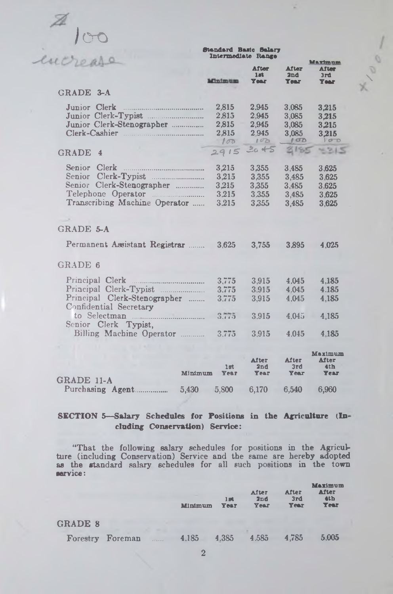

Standard Basic Salary Intermediate Renee

**\**

|                                                                                                                                      | <b>M'nimum</b>                            | After<br>1mt<br><b>Year</b>               | <b>After</b><br>2nd<br><b>Year</b>        | <u>Maximum</u><br><b>After</b><br>3rd<br><b>Year</b> |
|--------------------------------------------------------------------------------------------------------------------------------------|-------------------------------------------|-------------------------------------------|-------------------------------------------|------------------------------------------------------|
| GRADE 3-A                                                                                                                            |                                           |                                           |                                           |                                                      |
| Junior Clerk<br>Junior Clerk-Typist<br>Junior Clerk-Stenographer<br>Clerk-Cashier                                                    | 2,815<br>2.815<br>2,815<br>2,815<br>100   | 2.945<br>2.945<br>2,945<br>2.945<br>100   | 3.085<br>3,085<br>3,085<br>3.085<br>10D   | 3,215<br>3.215<br>3.215<br>3.215<br>500              |
| <b>GRADE</b><br>4                                                                                                                    | 2915                                      | 2045                                      | 3185                                      | 4315                                                 |
| Senior<br>Clerk<br>Senior Clerk-Typist<br>Senior Clerk-Stenographer<br>Telephone Operator<br>Transcribing Machine Operator           | 3,215<br>3,215<br>3,215<br>3,215<br>3.215 | 3,355<br>3,355<br>3,355<br>3.355<br>3.355 | 3,485<br>3.485<br>3,485<br>3,485<br>3.485 | 3.625<br>3,625<br>3.625<br>3,625<br>3.625            |
| GRADE 5-A                                                                                                                            |                                           |                                           |                                           |                                                      |
| Permanent Assistant Registrar                                                                                                        | 3.625                                     | 3,755                                     | 3.895                                     | 4.025                                                |
| GRADE 6                                                                                                                              |                                           |                                           |                                           |                                                      |
| Principal Clerk<br><br>.<br>Principal Clerk-Typist<br>Principal Clerk-Stenographer<br>Confidential Secretary<br>Senior Clerk Typist, | 3,775<br>3.775<br>3.775<br>3.775          | 3.915<br>3.915<br>3,915<br>3.915          | 4.045<br>4.045<br>4.045<br>4.045          | 4.185<br>4.185<br>4,185<br>4.185                     |
| Billing Machine Operator                                                                                                             | 3.775                                     | 3,915                                     | 4.045                                     | 4,185                                                |
| Minimum                                                                                                                              | 1st<br>Year                               | After<br>2nd<br>Year                      | After<br>3rd<br>Year                      | Maximum<br>After<br>4 <sub>th</sub><br><b>Year</b>   |
| GRADE 11-A<br>Purchasing Agent.<br>5,430                                                                                             | 5,800                                     | 6.170                                     | 6,540                                     | 6,960                                                |

## **SE C TIO N 5— Salary Schedules for Positions in the Agriculture (In'** cloding Conservation) Service:

"That the following salary schedules for positions in the Agriculture (including Conservation) Service and the same are hereby adopted as the standard salary schedules for all such positions in the town **service:**

|                |         |           | Minimum | 1B <sub>4</sub><br>Year | After<br>2nd<br>Year | After<br>3rd<br>Year | <b>Maximum</b><br>After<br>4 <sub>th</sub><br><b>Year</b> |
|----------------|---------|-----------|---------|-------------------------|----------------------|----------------------|-----------------------------------------------------------|
| <b>GRADE 8</b> |         |           |         |                         |                      |                      |                                                           |
| Forestry       | Foreman | 1.1.1.1.1 | 4.185   | 4.385                   | 4.585                | 4.785                | 5.005                                                     |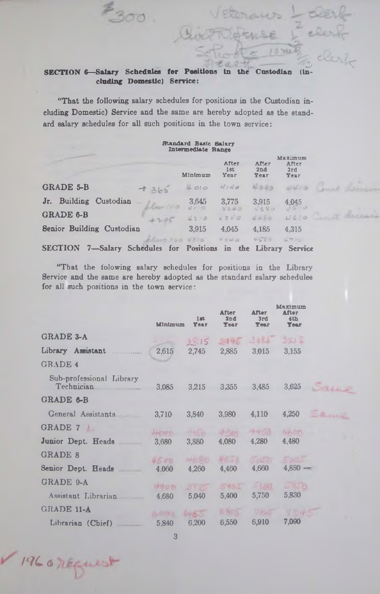### SECTION 6-Salary Schedules for Positions in the Custodian (including Domestic) Service:

 $1300$ 

 $\sim$  clears

aus

 $10500$ 

"That the following salary schedules for positions in the Custodian including Domestic) Service and the same are hereby adopted as the standard salary schedules for all such positions in the town service:

#### Standard Basic Salary Intermediate Range Maximum experience and the contract of the After After After 1st 2nd 3rd<br>Year Year Year Minimum **GRADE 5-B**  $+365$   $+010$   $4140$  $4570$  $47670$ Jr. Building Custodian 3,645 3,775 3,915 4,045 *<sup>U</sup>! 1 O J C / &* v *< J i t o* GRADE 6-B **4210 1210 1210 1210 1210** Senior Building Custodian 3,915 4,045 4,185 4,315 *•J > i U o t t C t v U ~ 7 r g* plug ron Uhia SECTION 7—Salary Schedules for Positions in the Library Service

"That the folowing salary schedules for positions in the Library Service and the same are hereby adopted as the standard salary schedules for all such positions in the town service:

|                                        | Minimum     | 1st<br>Year   | <b>After</b><br>2nd<br><b>Year</b> | <b>After</b><br>3rd<br><b>Tear</b> | Maximum<br><b>After</b><br>4th<br><b>Year</b> |      |
|----------------------------------------|-------------|---------------|------------------------------------|------------------------------------|-----------------------------------------------|------|
| <b>GRADE 3-A</b>                       |             | 2815          | $2945 - 3085$                      |                                    | 321.5                                         |      |
| Library Assistant                      | 2,615       | 2.745         | 2.885 3.015                        |                                    | 3.155                                         |      |
| <b>GRADE 4</b>                         |             |               |                                    |                                    |                                               |      |
| Sub-professional Library<br>Technician | 3.085       | 3.215         | 3.355                              | 3,485                              | 3,625                                         | Same |
| GRADE 6-B                              |             |               |                                    |                                    |                                               |      |
| General Assistants                     | 3.710       | 3.840         | 3,980                              | 4,110                              | 4.250                                         | Same |
| GRADE 7                                | Hemei-      |               | $H=20$                             | H-H-TA                             | NAVON                                         |      |
| Junior Dept. Heads                     | 3.680       | 3,880         | 4,080                              | 4,280                              | 4,480                                         |      |
| <b>GRADE 8</b>                         | 4500        | MERO.         | <b>MRSN</b>                        | 5050                               |                                               |      |
| Senior Dept. Heads                     | 4,060       | 4,260         | 4,460                              | 4.660                              | $4.880 -$                                     |      |
| GRADE 9-A                              | <b>M905</b> | 505           | 5455                               | $-180$                             | <b>UNSO</b>                                   |      |
| Assistant Librarian                    | 4.680       | 5,040         | 5,400                              | 5,750                              | 5,830                                         |      |
| <b>GRADE 11-A</b>                      | AODA.       | <b>Drib</b> 3 | 1480 S                             | UNAST                              |                                               |      |
| Librarian (Chief)                      | 5.840       | 6,200         | 6,550                              | 6,910                              | 7.090                                         |      |

3

*/'7C g*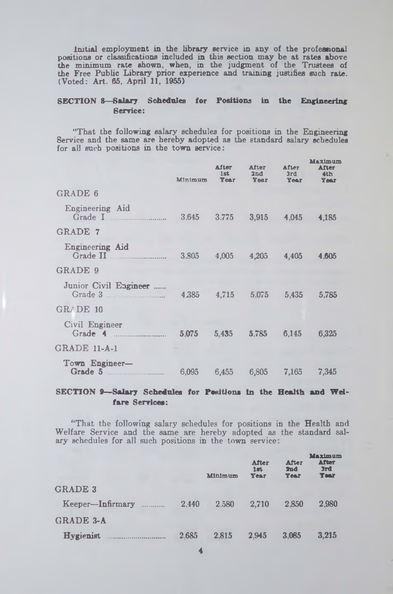Initial employment in the library service in any of the professional positions or classifications included in this section may be at rates above the minimum rate shown, when, in the judgment of the Trustees of the Free Public Library prior experience and training justifies such rate. (Voted: Art. 65, April 11, 1955)

### **SECTION 8— Salary Schedules for Positions in the Engineering 6ervice:**

"That the following salary schedules for positions in the Engineering Service and the same are hereby adopted as the standard salary schedules for all such positions in the town service:

|                                                               | <b>Minimum</b> | After<br>1st | After<br>2nd<br>Year Year Year | After<br>3rd | Maximum<br>After<br>4th<br>Year |
|---------------------------------------------------------------|----------------|--------------|--------------------------------|--------------|---------------------------------|
| <b>GRADE 6</b>                                                |                |              |                                |              |                                 |
| Engineering Aid<br>Grade I $\ldots$                           |                |              | 3.645 3.775 3,915 4,045 4,185  |              |                                 |
| <b>GRADE 7</b>                                                |                |              |                                |              |                                 |
| Engineering Aid                                               |                |              | 3.805 4,005 4,205 4,405        |              | 4.605                           |
| GRADE 9                                                       |                |              |                                |              |                                 |
| Junior Civil Engineer<br>Grade 3 4385 4,715 5.075 5,435 5,785 |                |              |                                |              |                                 |
| $GR/$ DE $10$                                                 |                |              |                                |              |                                 |
| Civil Engineer                                                |                |              | 5,075 5,435 5,785 6,145        |              | 6.325                           |
| GRADE 11-A-1                                                  |                |              |                                |              |                                 |
| Town Engineer-<br>Grade 5                                     |                |              | 6,095 6,455 6,805 7,165        |              | 7,345                           |

### **SE C T IO N** 9— **Salary Schedules** *fo r* Positions **In the Health and W e i fare Services:**

" That the following salary schedules for positions in the Health and Welfare Service and the same are hereby adopted as the standard salary schedules for all such positions in the town service:

|                  |       | Minimum | <b>After</b><br>$1$ st<br><b>Year</b> | After<br>2nd<br><b>Year</b> | <b>Maximum</b><br><b>After</b><br>3rd<br><b>Year</b> |
|------------------|-------|---------|---------------------------------------|-----------------------------|------------------------------------------------------|
| <b>GRADE 3</b>   |       |         |                                       |                             |                                                      |
| Keeper-Infirmary | 2.440 | 2.580   | 2.710                                 | 2.850                       | 2,980                                                |
| <b>GRADE 3-A</b> |       |         |                                       |                             |                                                      |
| <b>Hygienist</b> | 2.685 | 2.815   | 2.945                                 | 3.085                       | 3.215                                                |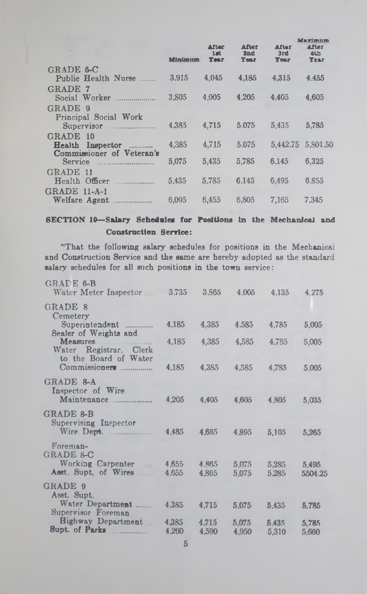|                                               | <b>Minimum</b> | After<br>$1$ art<br><b>Year</b> | <b>After</b><br>2nd<br>Year | After<br>3rd<br>Year | Marimum<br><b>After</b><br>4th<br><b>Year</b> |
|-----------------------------------------------|----------------|---------------------------------|-----------------------------|----------------------|-----------------------------------------------|
| GRADE 6-C                                     |                |                                 |                             |                      |                                               |
| Public Health Nurse                           | 3.915          | 4,045                           | 4.185                       | 4.315                | 4.455                                         |
| <b>GRADE 7</b><br>Social Worker               | 3.805          | 4.005                           | 4.205                       | 4.405                | 4.605                                         |
| GRADE 9                                       |                |                                 |                             |                      |                                               |
| Principal Social Work                         |                |                                 |                             |                      |                                               |
| Supervisor                                    | 4.385          | 4,715                           | 5.075                       | 5.435                | 5.785                                         |
| GRADE 10                                      |                |                                 |                             |                      |                                               |
| Health Inspector<br>Commissioner of Veteran's | 4,385          | 4,715                           | 5.075                       |                      | 5,442.75 5,801.50                             |
| Service Service                               | 5.075          | 5,435                           | 5.785                       | 6.145                | 6.325                                         |
| GRADE 11                                      |                |                                 |                             |                      |                                               |
| Health Officer                                | 5.435          | 5.785                           | 6.145                       | 6.495                | 6.855                                         |
| $\rm GRADE$ 11-A-1                            |                |                                 |                             |                      |                                               |
| Welfare Agent                                 | 6.095          | 6,455                           | 6,805                       | 7.165                | 7.345                                         |

## SECTION 10—Salary Schedules for Positions in the Mechanical and Construction Serrice:

"That the following salary schedules for positions in the Mechanical and Construction Service and the same are hereby adopted as the standard salary schedules for all such positions in the town service:

| GRADE 6-B<br>Water Meter Inspector                                          | 3,735          | 3,865          | 4,005          | 4.135          | 4.275            |
|-----------------------------------------------------------------------------|----------------|----------------|----------------|----------------|------------------|
| GRADE 8<br>Cemetery<br>Superintendent<br>.                                  | 4.185          | 4,385          | 4.585          | 4,785          | 5,005            |
| Sealer of Weights and<br>Measures <b>Measures</b><br>Water Registrar, Clerk | 4,185          | 4,385          | 4,585          | 4,785          | 5,005            |
| to the Board of Water<br>Commissioner                                       | 4,185          | 4.385          | 4.585          | 4,785          | 5,005            |
| GRADE 8-A<br>Inspector of Wire                                              |                |                |                |                |                  |
| Maintenance                                                                 | 4,205          | 4.405          | 4,605          | 4,805          | 5,035            |
| <b>GRADE &amp;B</b><br><b>Supervising Inspector</b>                         | 4,485          | 4,685          | 4,895          | 5,105          | 5.265            |
| Foreman-<br><b>GRADE 8-C</b>                                                |                |                |                |                |                  |
| Working Carpenter<br>Asst. Supt. of Wires                                   | 4.655<br>4.655 | 4,865<br>4.865 | 5.075<br>5,075 | 5.285<br>5.285 | 5.495<br>5504.25 |
| GRADE 9<br>Asst. Supt.                                                      |                |                |                |                |                  |
| Water Department<br>Supervisor Foreman                                      | 4.385          | 4,715          | 5,075          | 5,435          | 5,785            |
| <b>Highway Department</b><br>Supt. of Parks                                 | 4,385<br>4.260 | 4,715<br>4.590 | 5,075<br>4.950 | 5.435<br>5.310 | 5,785<br>5.660   |
|                                                                             |                |                |                |                |                  |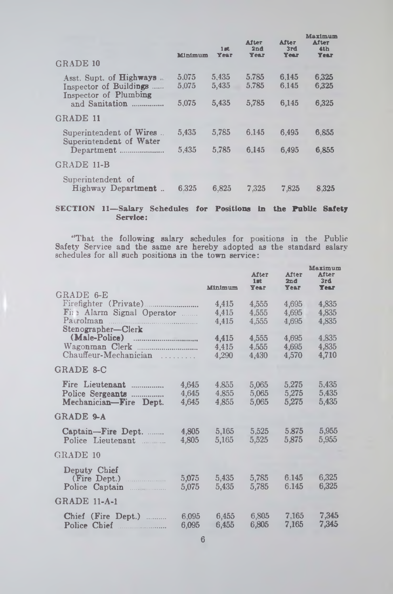| Minimum        | $1$ at<br>Year | <b>After</b><br>2nd<br>Year | <b>After</b><br>3rd<br>Year | Maximum<br><b>After</b><br>4 <sub>th</sub><br><b>Year</b> |
|----------------|----------------|-----------------------------|-----------------------------|-----------------------------------------------------------|
|                |                |                             |                             |                                                           |
| 5.075<br>5.075 | 5.435<br>5.435 | 5.785<br>5.785              | 6.145<br>6.145              | 6.325<br>6.325                                            |
| 5,075          | 5,435          | 5,785                       | 6,145                       | 6.325                                                     |
|                |                |                             |                             |                                                           |
| 5.435          | 5,785          | 6.145                       | 6.495                       | 6.855                                                     |
| 5.435          | 5.785          | 6.145                       | 6.495                       | 6.855                                                     |
|                |                |                             |                             |                                                           |
| 6.325          | 6,825          | 7.325                       | 7.825                       | 8.325                                                     |
|                |                |                             |                             |                                                           |

### **SECTION 11— Salary Schedules for Positions in the Public Safety Service:**

"That the following salary schedules for positions in the Public Safety Service and the same are hereby adopted as the standard salary schedules for all such positions in the town service:

|                                                                                                  |                         | Minimum                 | <b>After</b><br>$1$ at<br><b>Year</b> | After<br>2nd<br>Year    | Maximum<br><b>After</b><br>3rd<br><b>Year</b> |
|--------------------------------------------------------------------------------------------------|-------------------------|-------------------------|---------------------------------------|-------------------------|-----------------------------------------------|
| GRADE 6-E                                                                                        |                         |                         |                                       |                         |                                               |
| Fire Alarm Signal Operator<br>Patrolman                                                          |                         | 4,415<br>4,415<br>4.415 | 4.555<br>4.555<br>4.555               | 4,695<br>4,695<br>4.695 | 4,835<br>4,835<br>4,835                       |
| Stenographer-Clerk<br>(Male-Police)<br>--------------------------------<br>Chauffeur-Mechanician | .                       | 4,415<br>4.415<br>4,290 | 4,555<br>4.555<br>4,430               | 4.695<br>4,695<br>4.570 | 4.835<br>4,835<br>4,710                       |
| GRADE 8-C                                                                                        |                         |                         |                                       |                         |                                               |
| Fire Lieutenant<br>Police Sergeants<br>Mechanician-Fire Dept.                                    | 4.645<br>4,645<br>4,645 | 4.855<br>4.855<br>4,855 | 5.065<br>5,065<br>5,065               | 5.275<br>5,275<br>5.275 | 5,435<br>5.435<br>5,435                       |
| GRADE 9-A                                                                                        |                         |                         |                                       |                         |                                               |
| Captain-Fire Dept.<br>Police Lieutenant                                                          | 4,805<br>4,805          | 5,165<br>5.165          | 5.525<br>5.525                        | 5.875<br>5.875          | 5,955<br>5.955                                |
| GRADE 10                                                                                         |                         |                         |                                       |                         |                                               |
| Deputy Chief<br>(Fire Dept.)<br>Police Captain<br>. . <i>.</i>                                   | 5,075<br>5,075          | 5,435<br>5,435          | 5,785<br>5,785                        | 6.145<br>6.145          | 6,325<br>6,325                                |
| <b>GRADE 11-A-1</b>                                                                              |                         |                         |                                       |                         |                                               |
| Chief (Fire Dept.)<br>Police Chief                                                               | 6,095<br>6.095          | 6.455<br>6.455          | 6.805<br>6,805                        | 7.165<br>7.165          | 7,345<br>7,345                                |
|                                                                                                  |                         |                         |                                       |                         |                                               |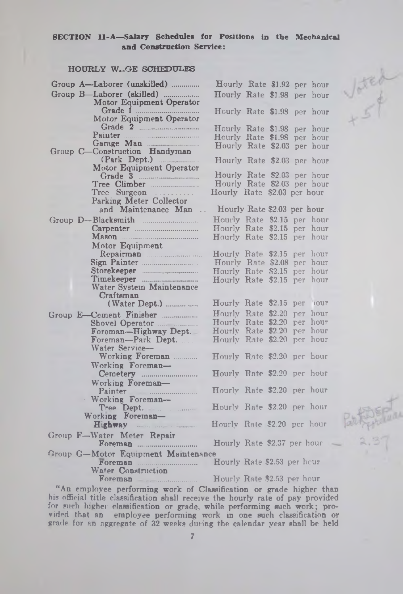### SECTION 11-A—Salary Schedules for Positions In the Mechanical and Construction Service:

### **HOURLY W.GE SCHEDULES**

| Vated<br>Group A-Laborer (unskilled)<br>Hourly Rate \$1.92 per hour<br>Group B-Laborer (skilled)<br>Hourly Rate \$1.98 per hour<br>Motor Equipment Operator<br>Hourly Rate \$1.98 per hour<br>Motor Equipment Operator<br>Hourly Rate \$1.98 per hour<br>Painter<br>Hourly Rate \$1.98 per hour<br>Hourly Rate \$2.03 per hour<br>Group C-Construction Handyman<br>$(Park\tDept.)$<br>Hourly Rate \$2.03 per hour<br>Motor Equipment Operator<br>Hourly Rate \$2.03 per hour<br>Hourly Rate \$2.03 per hour<br>Tree Climber<br>Hourly Rate \$2.03 per hour<br>$Tree \quad \text{Surgeon} \quad \ldots \ldots$<br>Parking Meter Collector<br>and Maintenance Man<br>Hourly Rate \$2.03 per hour<br>Hourly Rate \$2.15 per hour<br>Group D--Blacksmith<br>Hourly Rate \$2.15 per hour<br>Hourly Rate \$2.15 per hour<br>Motor Equipment<br>Hourly Rate \$2.15 per hour<br>Hourly Rate \$2.08 per hour<br>Storekeeper<br>Hourly Rate \$2.15 per hour<br>Timekeeper<br>Hourly Rate \$2.15 per hour<br>Water System Maintenance<br>Craftsman<br>Hourly Rate \$2.15 per hour<br>Hourly Rate \$2.20 per hour<br>Group E-Cement Finisher<br>Hourly Rate \$2.20 per hour<br>Hourly Rate \$2.20 per hour<br>Foreman-Highway Dept.<br>Hourly Rate \$2.20 per hour<br>Foreman--Park Dept.<br>Water Service-<br>Working Foreman<br>Hourly Rate \$2.20 per hour<br>Working Foreman-<br>Hourly Rate \$2.20 per hour<br>Working Foreman-<br>Hourly Rate \$2.20 per hour<br>Painter <b>Execution</b><br>Working Foreman-<br>Hourly Rate \$2.20 per hour<br>Tree Dept.<br>Working Foreman-<br>Hourly Rate \$2.20 per hour<br>Group F-Water Meter Repair<br>Hourly Rate \$2.37 per hour<br>Group G-Motor Equipment Maintensnce<br>$\mathbf{r}$ , $\mathbf{r}$ $\mathbf{r}$ $\mathbf{r}$ and $\mathbf{r}$ and $\mathbf{r}$ , $\mathbf{r}$ | HOURLY W. GE SCHEDULES |  |
|-----------------------------------------------------------------------------------------------------------------------------------------------------------------------------------------------------------------------------------------------------------------------------------------------------------------------------------------------------------------------------------------------------------------------------------------------------------------------------------------------------------------------------------------------------------------------------------------------------------------------------------------------------------------------------------------------------------------------------------------------------------------------------------------------------------------------------------------------------------------------------------------------------------------------------------------------------------------------------------------------------------------------------------------------------------------------------------------------------------------------------------------------------------------------------------------------------------------------------------------------------------------------------------------------------------------------------------------------------------------------------------------------------------------------------------------------------------------------------------------------------------------------------------------------------------------------------------------------------------------------------------------------------------------------------------------------------------------------------------------------------------------------------------------------------------------------|------------------------|--|
|                                                                                                                                                                                                                                                                                                                                                                                                                                                                                                                                                                                                                                                                                                                                                                                                                                                                                                                                                                                                                                                                                                                                                                                                                                                                                                                                                                                                                                                                                                                                                                                                                                                                                                                                                                                                                       |                        |  |
|                                                                                                                                                                                                                                                                                                                                                                                                                                                                                                                                                                                                                                                                                                                                                                                                                                                                                                                                                                                                                                                                                                                                                                                                                                                                                                                                                                                                                                                                                                                                                                                                                                                                                                                                                                                                                       |                        |  |
|                                                                                                                                                                                                                                                                                                                                                                                                                                                                                                                                                                                                                                                                                                                                                                                                                                                                                                                                                                                                                                                                                                                                                                                                                                                                                                                                                                                                                                                                                                                                                                                                                                                                                                                                                                                                                       |                        |  |
|                                                                                                                                                                                                                                                                                                                                                                                                                                                                                                                                                                                                                                                                                                                                                                                                                                                                                                                                                                                                                                                                                                                                                                                                                                                                                                                                                                                                                                                                                                                                                                                                                                                                                                                                                                                                                       |                        |  |
|                                                                                                                                                                                                                                                                                                                                                                                                                                                                                                                                                                                                                                                                                                                                                                                                                                                                                                                                                                                                                                                                                                                                                                                                                                                                                                                                                                                                                                                                                                                                                                                                                                                                                                                                                                                                                       |                        |  |
|                                                                                                                                                                                                                                                                                                                                                                                                                                                                                                                                                                                                                                                                                                                                                                                                                                                                                                                                                                                                                                                                                                                                                                                                                                                                                                                                                                                                                                                                                                                                                                                                                                                                                                                                                                                                                       |                        |  |
|                                                                                                                                                                                                                                                                                                                                                                                                                                                                                                                                                                                                                                                                                                                                                                                                                                                                                                                                                                                                                                                                                                                                                                                                                                                                                                                                                                                                                                                                                                                                                                                                                                                                                                                                                                                                                       |                        |  |
|                                                                                                                                                                                                                                                                                                                                                                                                                                                                                                                                                                                                                                                                                                                                                                                                                                                                                                                                                                                                                                                                                                                                                                                                                                                                                                                                                                                                                                                                                                                                                                                                                                                                                                                                                                                                                       |                        |  |
|                                                                                                                                                                                                                                                                                                                                                                                                                                                                                                                                                                                                                                                                                                                                                                                                                                                                                                                                                                                                                                                                                                                                                                                                                                                                                                                                                                                                                                                                                                                                                                                                                                                                                                                                                                                                                       |                        |  |
|                                                                                                                                                                                                                                                                                                                                                                                                                                                                                                                                                                                                                                                                                                                                                                                                                                                                                                                                                                                                                                                                                                                                                                                                                                                                                                                                                                                                                                                                                                                                                                                                                                                                                                                                                                                                                       |                        |  |
|                                                                                                                                                                                                                                                                                                                                                                                                                                                                                                                                                                                                                                                                                                                                                                                                                                                                                                                                                                                                                                                                                                                                                                                                                                                                                                                                                                                                                                                                                                                                                                                                                                                                                                                                                                                                                       |                        |  |
|                                                                                                                                                                                                                                                                                                                                                                                                                                                                                                                                                                                                                                                                                                                                                                                                                                                                                                                                                                                                                                                                                                                                                                                                                                                                                                                                                                                                                                                                                                                                                                                                                                                                                                                                                                                                                       |                        |  |
|                                                                                                                                                                                                                                                                                                                                                                                                                                                                                                                                                                                                                                                                                                                                                                                                                                                                                                                                                                                                                                                                                                                                                                                                                                                                                                                                                                                                                                                                                                                                                                                                                                                                                                                                                                                                                       |                        |  |
|                                                                                                                                                                                                                                                                                                                                                                                                                                                                                                                                                                                                                                                                                                                                                                                                                                                                                                                                                                                                                                                                                                                                                                                                                                                                                                                                                                                                                                                                                                                                                                                                                                                                                                                                                                                                                       |                        |  |
|                                                                                                                                                                                                                                                                                                                                                                                                                                                                                                                                                                                                                                                                                                                                                                                                                                                                                                                                                                                                                                                                                                                                                                                                                                                                                                                                                                                                                                                                                                                                                                                                                                                                                                                                                                                                                       |                        |  |
|                                                                                                                                                                                                                                                                                                                                                                                                                                                                                                                                                                                                                                                                                                                                                                                                                                                                                                                                                                                                                                                                                                                                                                                                                                                                                                                                                                                                                                                                                                                                                                                                                                                                                                                                                                                                                       |                        |  |
|                                                                                                                                                                                                                                                                                                                                                                                                                                                                                                                                                                                                                                                                                                                                                                                                                                                                                                                                                                                                                                                                                                                                                                                                                                                                                                                                                                                                                                                                                                                                                                                                                                                                                                                                                                                                                       |                        |  |
|                                                                                                                                                                                                                                                                                                                                                                                                                                                                                                                                                                                                                                                                                                                                                                                                                                                                                                                                                                                                                                                                                                                                                                                                                                                                                                                                                                                                                                                                                                                                                                                                                                                                                                                                                                                                                       |                        |  |
|                                                                                                                                                                                                                                                                                                                                                                                                                                                                                                                                                                                                                                                                                                                                                                                                                                                                                                                                                                                                                                                                                                                                                                                                                                                                                                                                                                                                                                                                                                                                                                                                                                                                                                                                                                                                                       |                        |  |
|                                                                                                                                                                                                                                                                                                                                                                                                                                                                                                                                                                                                                                                                                                                                                                                                                                                                                                                                                                                                                                                                                                                                                                                                                                                                                                                                                                                                                                                                                                                                                                                                                                                                                                                                                                                                                       |                        |  |
|                                                                                                                                                                                                                                                                                                                                                                                                                                                                                                                                                                                                                                                                                                                                                                                                                                                                                                                                                                                                                                                                                                                                                                                                                                                                                                                                                                                                                                                                                                                                                                                                                                                                                                                                                                                                                       |                        |  |
|                                                                                                                                                                                                                                                                                                                                                                                                                                                                                                                                                                                                                                                                                                                                                                                                                                                                                                                                                                                                                                                                                                                                                                                                                                                                                                                                                                                                                                                                                                                                                                                                                                                                                                                                                                                                                       |                        |  |
|                                                                                                                                                                                                                                                                                                                                                                                                                                                                                                                                                                                                                                                                                                                                                                                                                                                                                                                                                                                                                                                                                                                                                                                                                                                                                                                                                                                                                                                                                                                                                                                                                                                                                                                                                                                                                       |                        |  |
|                                                                                                                                                                                                                                                                                                                                                                                                                                                                                                                                                                                                                                                                                                                                                                                                                                                                                                                                                                                                                                                                                                                                                                                                                                                                                                                                                                                                                                                                                                                                                                                                                                                                                                                                                                                                                       |                        |  |
|                                                                                                                                                                                                                                                                                                                                                                                                                                                                                                                                                                                                                                                                                                                                                                                                                                                                                                                                                                                                                                                                                                                                                                                                                                                                                                                                                                                                                                                                                                                                                                                                                                                                                                                                                                                                                       |                        |  |
|                                                                                                                                                                                                                                                                                                                                                                                                                                                                                                                                                                                                                                                                                                                                                                                                                                                                                                                                                                                                                                                                                                                                                                                                                                                                                                                                                                                                                                                                                                                                                                                                                                                                                                                                                                                                                       |                        |  |
|                                                                                                                                                                                                                                                                                                                                                                                                                                                                                                                                                                                                                                                                                                                                                                                                                                                                                                                                                                                                                                                                                                                                                                                                                                                                                                                                                                                                                                                                                                                                                                                                                                                                                                                                                                                                                       |                        |  |
|                                                                                                                                                                                                                                                                                                                                                                                                                                                                                                                                                                                                                                                                                                                                                                                                                                                                                                                                                                                                                                                                                                                                                                                                                                                                                                                                                                                                                                                                                                                                                                                                                                                                                                                                                                                                                       |                        |  |
|                                                                                                                                                                                                                                                                                                                                                                                                                                                                                                                                                                                                                                                                                                                                                                                                                                                                                                                                                                                                                                                                                                                                                                                                                                                                                                                                                                                                                                                                                                                                                                                                                                                                                                                                                                                                                       |                        |  |
|                                                                                                                                                                                                                                                                                                                                                                                                                                                                                                                                                                                                                                                                                                                                                                                                                                                                                                                                                                                                                                                                                                                                                                                                                                                                                                                                                                                                                                                                                                                                                                                                                                                                                                                                                                                                                       |                        |  |
|                                                                                                                                                                                                                                                                                                                                                                                                                                                                                                                                                                                                                                                                                                                                                                                                                                                                                                                                                                                                                                                                                                                                                                                                                                                                                                                                                                                                                                                                                                                                                                                                                                                                                                                                                                                                                       |                        |  |
|                                                                                                                                                                                                                                                                                                                                                                                                                                                                                                                                                                                                                                                                                                                                                                                                                                                                                                                                                                                                                                                                                                                                                                                                                                                                                                                                                                                                                                                                                                                                                                                                                                                                                                                                                                                                                       |                        |  |
|                                                                                                                                                                                                                                                                                                                                                                                                                                                                                                                                                                                                                                                                                                                                                                                                                                                                                                                                                                                                                                                                                                                                                                                                                                                                                                                                                                                                                                                                                                                                                                                                                                                                                                                                                                                                                       |                        |  |
|                                                                                                                                                                                                                                                                                                                                                                                                                                                                                                                                                                                                                                                                                                                                                                                                                                                                                                                                                                                                                                                                                                                                                                                                                                                                                                                                                                                                                                                                                                                                                                                                                                                                                                                                                                                                                       |                        |  |
|                                                                                                                                                                                                                                                                                                                                                                                                                                                                                                                                                                                                                                                                                                                                                                                                                                                                                                                                                                                                                                                                                                                                                                                                                                                                                                                                                                                                                                                                                                                                                                                                                                                                                                                                                                                                                       |                        |  |
|                                                                                                                                                                                                                                                                                                                                                                                                                                                                                                                                                                                                                                                                                                                                                                                                                                                                                                                                                                                                                                                                                                                                                                                                                                                                                                                                                                                                                                                                                                                                                                                                                                                                                                                                                                                                                       |                        |  |
|                                                                                                                                                                                                                                                                                                                                                                                                                                                                                                                                                                                                                                                                                                                                                                                                                                                                                                                                                                                                                                                                                                                                                                                                                                                                                                                                                                                                                                                                                                                                                                                                                                                                                                                                                                                                                       |                        |  |

Foreman ......................... Hourly Rate \$2.53 per hour Water Construction

Foreman \_\_\_\_\_\_\_\_\_\_\_\_\_\_\_ Hourly Rate \$2.53 per hour

"An employee performing work of Classification or grade higher than his official title classification shall receive the hourly rate of pay provided for such higher classification or grade, while performing such work; provided that an employee performing work in one such classification or grade for an aggregate of 32 weeks during the calendar year shall be held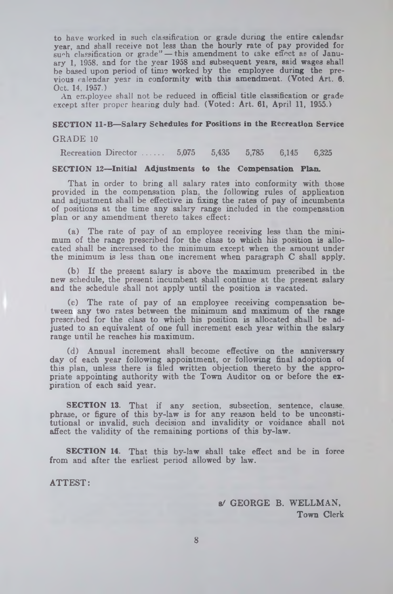to have worked in such classification or grade during the entire calendar year, and shall receive not less than the hourly rate of pay provided for such classification or grade" — this amendment to take effect as of January 1, 1958. and for the year 1958 and subsequent years, said wages shall be based upon period of time worked by the employee during the previous calendar year in conformity with this amendment. (Voted Art. 6. Oct. 14, 1957.)

An employee shall not be reduced in official title classification or grade except after proper hearing duly had. (Voted: Art. 61, April 11, 1955.)

### **SECTION 11-B— Salary Schedules for Positions in the Recreation Service**

#### **GRADE 10**

Recreation Director ...... 5,075 5,435 5,785 6,145 6,325

### **SECTION 12— Initial Adjustments to the Compensation Plan.**

That in order to bring all salary rates into conformity with those provided in the compensation plan, the following rules of application and adjustment shall be effective in fixing the rates of pay of incumbents of positions at the time any salary range included in the compensation plan or any amendment thereto takes effect:

(a) The rate of pay of an employee receiving less than the minimum of the range prescribed for the class to which his position is allocated shall be increased to the minimum except when the amount under the minimum is less than one increment when paragraph C shall apply.

(b) If the present salary is above the maximum prescribed in the new schedule, the present incumbent shall continue at the present salary and the schedule shall not apply until the position is vacated.

(c) The rate of pay of an employee receiving compensation between any two rates between the minimum and maximum of the range prescribed for the class to which his position is allocated shall be adjusted to an equivalent of one full increment each year within the salary range until he reaches his maximum.

(d) Annual increment shall become effective on the anniversary day of each year following appointment, or following final adoption of this plan, unless there is filed written objection thereto by the appropriate appointing authority with the Town Auditor on or before the expiration of each said year.

SECTION 13. That if any section, subsection, sentence, clause, phrase, or figure of this by-law is for any reason held to be unconstitutional or invalid, such decision and invalidity or voidance shall not affect the validity of the remaining portions of this by-law.

SECTION 14. That this by-law shall take effect and be in force from and after the earliest period allowed by law.

ATTEST:

a/ GEORGE B. WELLMAN, Town Clerk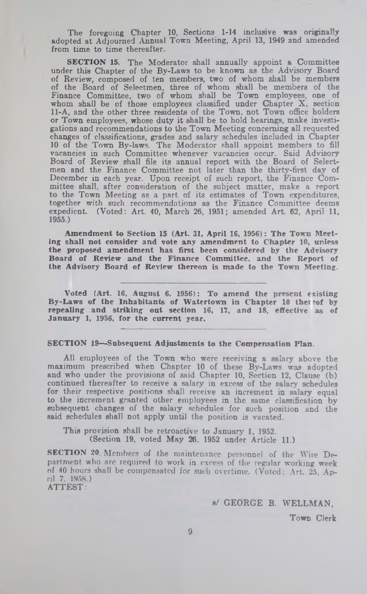The foregoing Chapter 10, Sections 1-14 inclusive was originally adopted at Adjourned Annual Town Meeting, April 13, 1949 and amended from time to time thereafter.

SECTION 15. The Moderator shall annually appoint a Committee under this Chapter of the By-Laws to be known as the Advisory Board of Review, composed of ten members, two of whom shall be members of the Board of Selectmen, three of whom shall be members of the Finance Committee, two of whom shall be Town employees, one of whom shall be of those employees classified under Chapter X, section 11-A, and the other three residents of the Town, not Town office holders or Town employees, whose duty it shall be to hold hearings, make investigations and recommendations to the Town Meeting concerning all requested changes of classifications, grades and salary schedules included in Chapter 10 of the Town By-laws. The Moderator shall appoint members to fill vacancies in such Committee whenever vacancies occur. Said Advisory Board of Review shall file its annual report with the Board of Selectmen and the Finance Committee not later than the thirty-first day of December in each year. Upon receipt of such report, the Finance Committee shall, after consideration of the subject matter, make a report to the Town Meeting as a part of its estimates of Town expenditures, together with such recommendations as the Finance Committee deems expedient. (Voted: Art. 40, March 26, 1951; amended Art. 62, April 11, 1955.)

Amendment to Section 15 (Art. 31, April 16, 1956): The Town Meeting shall not consider and vote any amendment to Chapter 10, unless the proposed amendment has first been considered by the Advisory Board of Review and the Finance Committee, and the Report of the Advisory Board of Review thereon is made to the Town Meeting.

Voted (Art. 16, August 6, 1956): To amend the present existing By-Laws of the Inhabitants of Watertown in Chapter 10 ther eof by repealing and striking out section 16, 17, and 18, effective as of January 1, 1956, for the current year.

### SECTION 19—Subsequent Adjustments to the Compensation Plan.

All employees of the Town who were receiving a salary above the maximum prescribed when Chapter 10 of these By-Laws was adopted and who under the provisions of said Chapter 10, Section 12, Clause (b) continued thereafter to receive a salary in excess of the salary schedules for their respective positions shall receive an increment in salary equal to the increment granted other employees in the same classification by subsequent changes of the salary schedules for such position and the said schedules shall not apply until the position is vacated.

This provision shall be retroactive to January 1, 1952. (Section 19, voted May 26. 1952 under Article 11.)

SECTION 20. Members of the maintenance personnel of the Wire Department who are required to work in excess of the regular working week of 40 hours shall be compensated for such overtime. (Voted: Art. 25, April 7. 1958.) ATTEST:

s/ GEORGE B. WELLMAN,

Town Clerk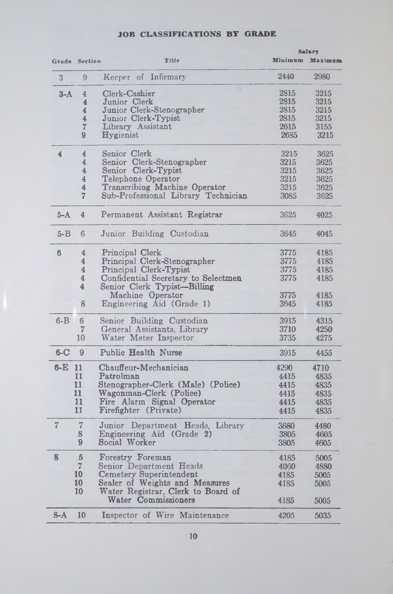|         |                         |                                                           | Salary |                 |  |
|---------|-------------------------|-----------------------------------------------------------|--------|-----------------|--|
|         | Grade Section           | Title                                                     |        | Minimum Maximum |  |
| 3       | 9                       | Keeper of Infirmary                                       | 2440   | 2980            |  |
| $3-A$   | 4                       | Clerk-Cashier                                             | 2815   | 3215            |  |
|         | $\overline{\mathbf{4}}$ | Junior Clerk                                              | 2815   | 3215            |  |
|         | 4                       | Junior Clerk-Stenographer                                 | 2815   | 3215            |  |
|         | $\overline{4}$          | Junior Clerk-Typist                                       | 2815   | 3215            |  |
|         | 7                       | Library Assistant                                         | 2615   | 3155            |  |
|         | 9                       | <b>Hygienist</b>                                          | 2685   | 3215            |  |
| 4       | 4                       | Senior Clerk                                              | 3215   | 3625            |  |
|         | 4                       | Senior Clerk-Stenographer                                 | 3215   | 3625            |  |
|         | 4                       | Senior Clerk-Typist                                       | 3215   | 3625            |  |
|         | 4                       | Telephone Operator                                        | 3215   |                 |  |
|         |                         |                                                           |        | 3625            |  |
|         | 4                       | Transcribing Machine Operator                             | 3215   | 3625            |  |
|         | 7                       | Sub-Professional Library Technician                       | 3085   | 3625            |  |
| $5-A$   | 4                       | Permanent Assistant Registrar                             | 3625   | 4025            |  |
| $5 - B$ | 6                       | Junior Building Custodian                                 | 3645   | 4045            |  |
| 6       | 4                       | Principal Clerk                                           | 3775   | 4185            |  |
|         | 4                       | Principal Clerk-Stenographer                              | 3775   | 4185            |  |
|         | $\overline{4}$          | Principal Clerk-Typist                                    | 3775   | 4185            |  |
|         | 4                       | Confidential Secretary to Selectmen                       | 3775   | 4185            |  |
|         | 4                       | Senior Clerk Typist-Billing                               |        |                 |  |
|         |                         | Machine Operator                                          | 3775   | 4185            |  |
|         | 8                       | Engineering Aid (Grade 1)                                 | 3645   | 4185            |  |
| $6 - B$ | 6                       | Senior Building Custodian                                 | 3915   | 4315            |  |
|         | 7                       | General Assistants, Library                               | 3710   | 4250            |  |
|         | 10                      | Water Meter Inspector                                     | 3735   | 4275            |  |
| $6 - C$ | 9                       | Public Health Nurse                                       | 3915   | 4455            |  |
| $6-E$   | 11                      | Chauffeur-Mechanician                                     | 4290   | 4710            |  |
|         | 11                      | Patrolman                                                 | 4415   | 4835            |  |
|         | 11                      | Stenographer-Clerk (Male) (Police)                        | 4415   | 4835            |  |
|         | 11                      | Wagonman-Clerk (Police)                                   | 4415   | 4835            |  |
|         | 11                      | Fire Alarm Signal Operator                                | 4415   | 4835            |  |
|         | 11                      | Firefighter (Private)                                     | 4415   | 4835            |  |
| 7       | 7                       | Junior Department Heads, Library                          | 3680   | 4480            |  |
|         | 8                       | Engineering Aid (Grade 2)                                 | 3805   | 4605            |  |
|         | 9                       | Social Worker                                             | 3805   | 4605            |  |
| 8       | 5                       | Forestry Foreman                                          | 4185   | 5005            |  |
|         | $\overline{7}$          | Senior Department Heads                                   | 4060   | 4880            |  |
|         | 10                      | <b>Cemetery Superintendent</b>                            | 4185   | 5005            |  |
|         | 10                      | Sealer of Weights and Measures                            | 4185   | 5005            |  |
|         | 10                      | Water Registrar, Clerk to Board of<br>Water Commissioners | 4185   |                 |  |
|         |                         |                                                           |        | 5005            |  |
| $8-A$   | 10                      | Inspector of Wire Maintenance                             | 4205   | 5035            |  |

## **JOB CLASSIFICATIONS BY GRADE**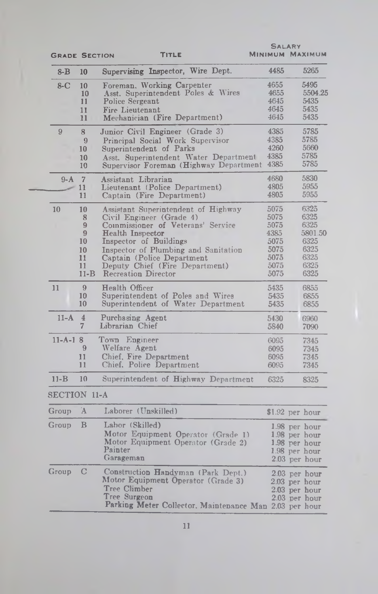| <b>GRADE SECTION</b> |                                                       | TITLE                                                                                                                                                                                                                                                                                           | <b>SALARY</b>                                                        | <b>MINIMUM MAXIMUM</b>                                                            |
|----------------------|-------------------------------------------------------|-------------------------------------------------------------------------------------------------------------------------------------------------------------------------------------------------------------------------------------------------------------------------------------------------|----------------------------------------------------------------------|-----------------------------------------------------------------------------------|
| $8 - B$              | 10                                                    | Supervising Inspector, Wire Dept.                                                                                                                                                                                                                                                               | 4485                                                                 | 5265                                                                              |
| $8-C$                | 10<br>10<br>11<br>11<br>11                            | Foreman, Working Carpenter<br>Asst. Superintendent Poles & Wires<br>Police Sergeant<br>Fire Lieutenant<br>Mechanician (Fire Department)                                                                                                                                                         | 4655<br>4655<br>4645<br>4645<br>4645                                 | 5495<br>5504.25<br>5435<br>5435<br>5435                                           |
| 9                    | 8<br>9<br>10<br>10<br>10                              | Junior Civil Engineer (Grade 3)<br>Principal Social Work Supervisor<br>Superintendent of Parks<br>Asst. Superintendent Water Department<br>Supervisor Foreman (Highway Department                                                                                                               | 4385<br>4385<br>4260<br>4385<br>4385                                 | 5785<br>5785<br>5660<br>5785<br>5785                                              |
| $9-A$                | $\overline{7}$<br>11<br>11                            | Assistant Librarian<br>Lieutenant (Police Department)<br>Captain (Fire Department)                                                                                                                                                                                                              | 4680<br>4805<br>4805                                                 | 5830<br>5955<br>5955                                                              |
| 10                   | 10<br>8<br>9<br>9<br>10<br>10<br>11<br>11<br>$11 - B$ | Assistant Superintendent of Highway<br>Civil Engineer (Grade 4)<br>Commissioner of Veterans' Service<br><b>Health Inspector</b><br>Inspector of Buildings<br>Inspector of Plumbing and Sanitation<br>Captain (Police Department<br>Deputy Chief (Fire Department)<br><b>Recreation Director</b> | 5075<br>5075<br>5075<br>4385<br>5075<br>5075<br>5075<br>5075<br>5075 | 6325<br>6325<br>6325<br>5801.50<br>6325<br>6325<br>6325<br>6325<br>6325           |
| 11                   | 9<br>10<br>10                                         | Health Officer<br>Superintendent of Poles and Wires<br>Superintendent of Water Department                                                                                                                                                                                                       | 5435<br>5435<br>5435                                                 | 6855<br>6855<br>6855                                                              |
| $11-A$               | $\overline{4}$<br>$\overline{7}$                      | Purchasing Agent<br>Librarian Chief                                                                                                                                                                                                                                                             | 5430<br>5840                                                         | 6960<br>7090                                                                      |
| $11 - A - 18$        | 9<br>$\mathbf{11}$<br>11                              | Town Engineer<br>Welfare Agent<br>Chief, Fire Department<br>Chief, Police Department                                                                                                                                                                                                            | 6095<br>6095<br>6095<br>6095                                         | 7345<br>7345<br>7345<br>7345                                                      |
| $11 - B$             | 10                                                    | Superintendent of Highway Department                                                                                                                                                                                                                                                            | 6325                                                                 | 8325                                                                              |
| <b>SECTION 11-A</b>  |                                                       |                                                                                                                                                                                                                                                                                                 |                                                                      |                                                                                   |
| Group                | Ά                                                     | Laborer (Unskilled)                                                                                                                                                                                                                                                                             |                                                                      | $$1.92$ per hour                                                                  |
| Group                | B                                                     | Labor (Skilled)<br>Motor Equipment Operator (Grade 1)<br>Motor Equipment Operator (Grade 2)<br>Painter<br>Garageman                                                                                                                                                                             |                                                                      | 1.98 per hour<br>1.98 per hour<br>1.98 per hour<br>1.98 per hour<br>2.03 per hour |
| Group                | $\mathcal{C}$                                         | Construction Handyman (Park Dept.)<br>Motor Equipment Operator (Grade 3)<br>Tree Climber<br>Tree Surgeon<br>Parking Meter Collector. Maintenance Man 2.03 per hour                                                                                                                              |                                                                      | $2.03$ per hour<br>2.03 per hour<br>2.03 per hour<br>2.03 per hour                |